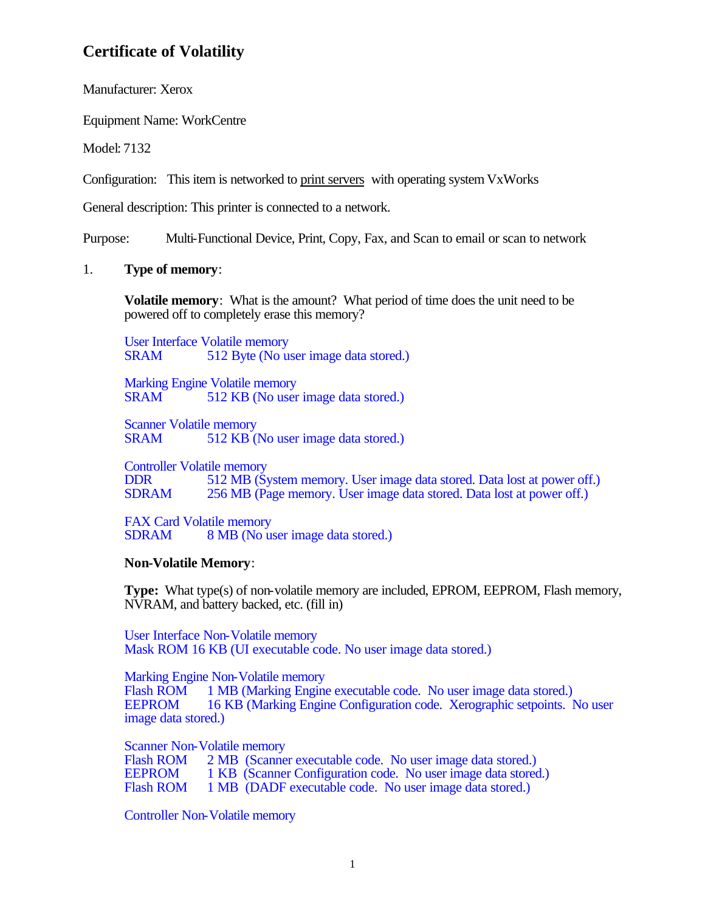Manufacturer: Xerox

Equipment Name: WorkCentre

Model: 7132

Configuration: This item is networked to print servers with operating system VxWorks

General description: This printer is connected to a network.

Purpose: Multi-Functional Device, Print, Copy, Fax, and Scan to email or scan to network

### 1. **Type of memory**:

**Volatile memory**: What is the amount? What period of time does the unit need to be powered off to completely erase this memory?

User Interface Volatile memory SRAM 512 Byte (No user image data stored.)

Marking Engine Volatile memory SRAM 512 KB (No user image data stored.)

Scanner Volatile memory<br>SRAM 512 KB (1) 512 KB (No user image data stored.)

Controller Volatile memory DDR 512 MB (System memory. User image data stored. Data lost at power off.)<br>SDRAM 256 MB (Page memory. User image data stored. Data lost at power off.) 256 MB (Page memory. User image data stored. Data lost at power off.)

FAX Card Volatile memory SDRAM 8 MB (No user image data stored.)

### **Non-Volatile Memory**:

**Type:** What type(s) of non-volatile memory are included, EPROM, EEPROM, Flash memory, NVRAM, and battery backed, etc. (fill in)

User Interface Non-Volatile memory Mask ROM 16 KB (UI executable code. No user image data stored.)

Marking Engine Non-Volatile memory Flash ROM 1 MB (Marking Engine executable code. No user image data stored.)<br>EEPROM 16 KB (Marking Engine Configuration code. Xerographic setpoints. N 16 KB (Marking Engine Configuration code. Xerographic setpoints. No user image data stored.)

Scanner Non-Volatile memory<br>Flash ROM 2 MB (Scanne

Flash ROM 2 MB (Scanner executable code. No user image data stored.)<br>EEPROM 1 KB (Scanner Configuration code. No user image data stored 1 KB (Scanner Configuration code. No user image data stored.) Flash ROM 1 MB (DADF executable code. No user image data stored.)

Controller Non-Volatile memory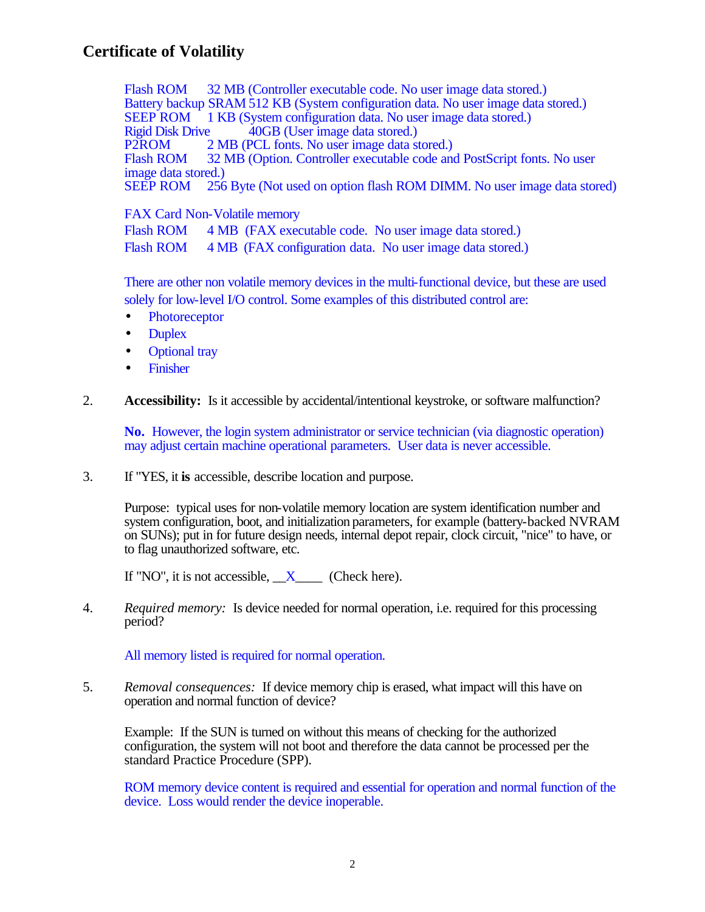Flash ROM 32 MB (Controller executable code. No user image data stored.) Battery backup SRAM 512 KB (System configuration data. No user image data stored.) SEEP ROM 1 KB (System configuration data. No user image data stored.) Rigid Disk Drive 40GB (User image data stored.)<br>P2ROM 2 MB (PCL fonts. No user image data st P2ROM 2 MB (PCL fonts. No user image data stored.)<br>Flash ROM 32 MB (Option. Controller executable code and 32 MB (Option. Controller executable code and PostScript fonts. No user image data stored.)<br>SEEP ROM 256 256 Byte (Not used on option flash ROM DIMM. No user image data stored)

FAX Card Non-Volatile memory

Flash ROM 4 MB (FAX executable code. No user image data stored.)

Flash ROM 4 MB (FAX configuration data. No user image data stored.)

There are other non volatile memory devices in the multi-functional device, but these are used solely for low-level I/O control. Some examples of this distributed control are:

- Photoreceptor
- Duplex
- Optional tray
- Finisher

2. **Accessibility:** Is it accessible by accidental/intentional keystroke, or software malfunction?

**No.** However, the login system administrator or service technician (via diagnostic operation) may adjust certain machine operational parameters. User data is never accessible.

3. If "YES, it **is** accessible, describe location and purpose.

Purpose: typical uses for non-volatile memory location are system identification number and system configuration, boot, and initialization parameters, for example (battery-backed NVRAM on SUNs); put in for future design needs, internal depot repair, clock circuit, "nice" to have, or to flag unauthorized software, etc.

If "NO", it is not accessible,  $X$  (Check here).

4. *Required memory:* Is device needed for normal operation, i.e. required for this processing period?

All memory listed is required for normal operation.

5. *Removal consequences:* If device memory chip is erased, what impact will this have on operation and normal function of device?

Example: If the SUN is turned on without this means of checking for the authorized configuration, the system will not boot and therefore the data cannot be processed per the standard Practice Procedure (SPP).

ROM memory device content is required and essential for operation and normal function of the device. Loss would render the device inoperable.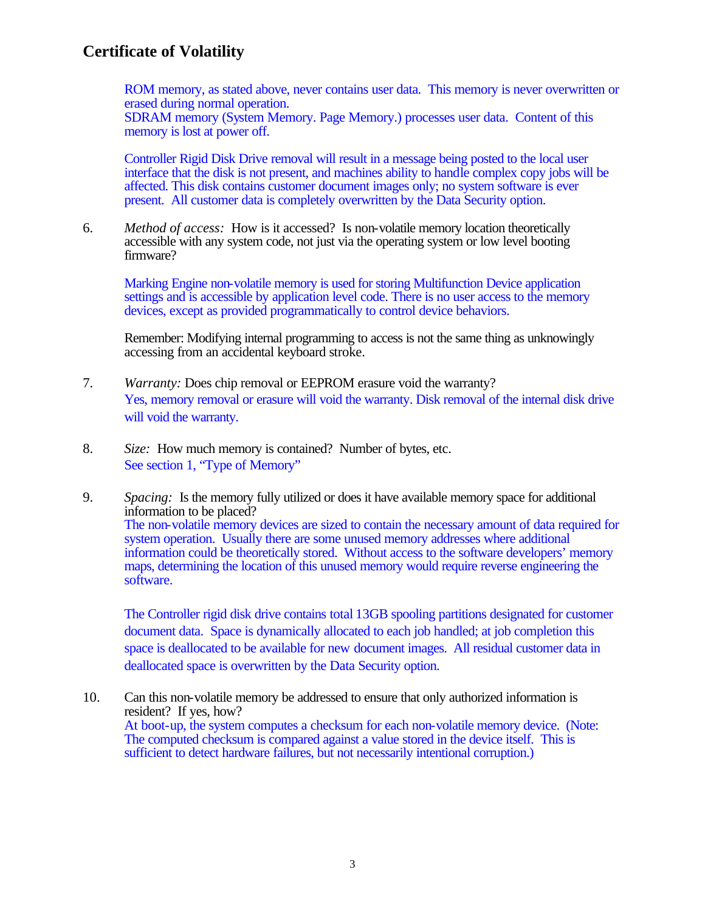ROM memory, as stated above, never contains user data. This memory is never overwritten or erased during normal operation.

SDRAM memory (System Memory. Page Memory.) processes user data. Content of this memory is lost at power off.

Controller Rigid Disk Drive removal will result in a message being posted to the local user interface that the disk is not present, and machines ability to handle complex copy jobs will be affected. This disk contains customer document images only; no system software is ever present. All customer data is completely overwritten by the Data Security option.

6. *Method of access:* How is it accessed? Is non-volatile memory location theoretically accessible with any system code, not just via the operating system or low level booting firmware?

Marking Engine non-volatile memory is used for storing Multifunction Device application settings and is accessible by application level code. There is no user access to the memory devices, except as provided programmatically to control device behaviors.

Remember: Modifying internal programming to access is not the same thing as unknowingly accessing from an accidental keyboard stroke.

- 7. *Warranty:* Does chip removal or EEPROM erasure void the warranty? Yes, memory removal or erasure will void the warranty. Disk removal of the internal disk drive will void the warranty.
- 8. *Size:* How much memory is contained? Number of bytes, etc. See section 1, "Type of Memory"
- 9. *Spacing:* Is the memory fully utilized or does it have available memory space for additional information to be placed? The non-volatile memory devices are sized to contain the necessary amount of data required for system operation. Usually there are some unused memory addresses where additional information could be theoretically stored. Without access to the software developers' memory maps, determining the location of this unused memory would require reverse engineering the software.

The Controller rigid disk drive contains total 13GB spooling partitions designated for customer document data. Space is dynamically allocated to each job handled; at job completion this space is deallocated to be available for new document images. All residual customer data in deallocated space is overwritten by the Data Security option.

10. Can this non-volatile memory be addressed to ensure that only authorized information is resident? If yes, how? At boot-up, the system computes a checksum for each non-volatile memory device. (Note: The computed checksum is compared against a value stored in the device itself. This is sufficient to detect hardware failures, but not necessarily intentional corruption.)